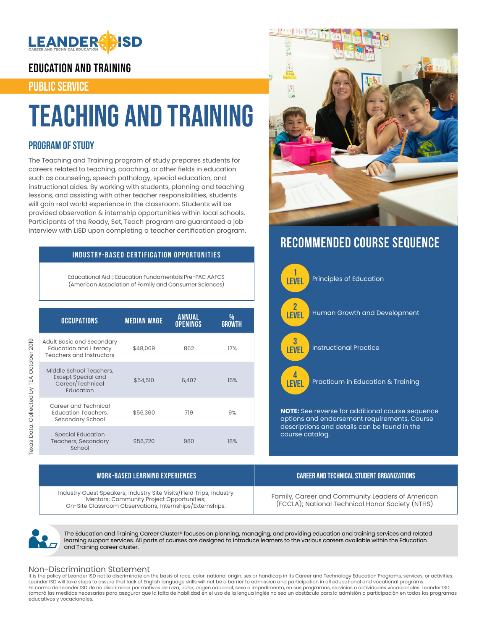

### EDUCATION AND TRAINING

### PUBLIC SERVICE

## Teaching and Training

### **PROGRAM OF STUDY**

The Teaching and Training program of study prepares students for careers related to teaching, coaching, or other fields in education such as counseling, speech pathology, special education, and instructional aides. By working with students, planning and teaching lessons, and assisting with other teacher responsibilities, students will gain real world experience in the classroom. Students will be provided observation & internship opportunities within local schools. Participants of the Ready, Set, Teach program are guaranteed a job interview with LISD upon completing a teacher certification program.

### **INDUSTRY-BASED CERTIFICATION OPPORTUNITIES**

Educational Aid I; Education Fundamentals Pre-PAC AAFCS (American Association of Family and Consumer Sciences)

|  | <b>OCCUPATIONS</b>                                                                     | <b>MEDIAN WAGE</b> | <b>ANNUAL</b><br><b>OPENINGS</b> | %<br><b>GROWTH</b> |
|--|----------------------------------------------------------------------------------------|--------------------|----------------------------------|--------------------|
|  | Adult Basic and Secondary<br><b>Education and Literacy</b><br>Teachers and Instructors | \$48,069           | 862                              | 17%                |
|  | Middle School Teachers,<br><b>Except Special and</b><br>Career/Technical<br>Education  | \$54,510           | 6,407                            | 15%                |
|  | Career and Technical<br><b>Education Teachers,</b><br>Secondary School                 | \$56,360           | 719                              | 9%                 |
|  | <b>Special Education</b><br><b>Teachers, Secondary</b><br>School                       | \$56,720           | 980                              | 18%                |



## **RECOMMENDED COURSE SEQUENCE**



| WORK-BASED LEARNING EXPERIENCES                                                                                                                                              | CAREER AND TECHNICAL STUDENT ORGANIZATIONS                                                           |
|------------------------------------------------------------------------------------------------------------------------------------------------------------------------------|------------------------------------------------------------------------------------------------------|
| Industry Guest Speakers; Industry Site Visits/Field Trips; Industry<br>Mentors; Community Project Opportunities;<br>On-Site Classroom Observations; Internships/Externships. | Family, Career and Community Leaders of American<br>(FCCLA); National Technical Honor Society (NTHS) |



The Education and Training Career Cluster® focuses on planning, managing, and providing education and training services and related learning support services. All parts of courses are designed to introduce learners to the various careers available within the Education and Training career cluster.

#### Non-Discrimination Statement

It is the policy of Leander ISD not to discriminate on the basis of race, color, national origin, sex or handicap in its Career and Technology Education Programs, services, or activities.<br>Leander ISD will take steps to ass Es norma de Leander ISD de no discriminar por motivos de raza, color, origen nacional, sexo o impedimento, en sus programas, servicios o actividades vocacionales. Leander ISD tomará las medidas necesarias para asegurar que la falta de habilidad en el uso de la lengua inglés no sea un obstáculo para la admisión o participación en todos los programas educativos y vocacionales.